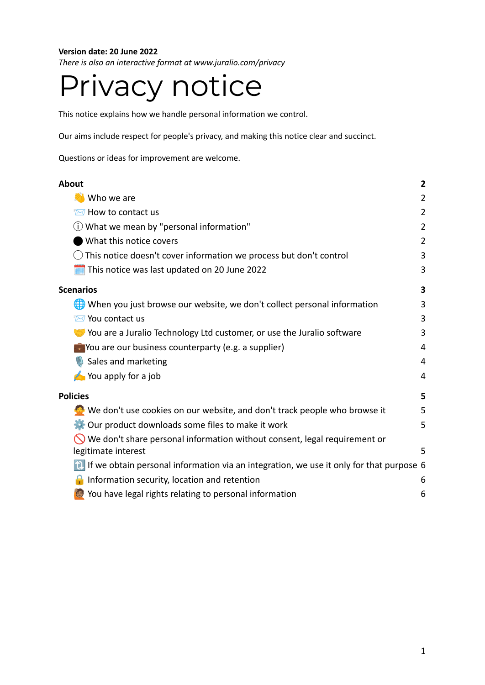## **Version date: 20 June 2022**

*There is also an interactive format at www.juralio.com/privacy*

# Privacy notice

This notice explains how we handle personal information we control.

Our aims include respect for people's privacy, and making this notice clear and succinct.

Questions or ideas for improvement are welcome.

| About                                                                                     | $\overline{\mathbf{c}}$ |
|-------------------------------------------------------------------------------------------|-------------------------|
| Who we are                                                                                | $\overline{2}$          |
| Mev to contact us                                                                         | $\overline{2}$          |
| (i) What we mean by "personal information"                                                | $\overline{2}$          |
| What this notice covers                                                                   | $\overline{2}$          |
| This notice doesn't cover information we process but don't control                        | 3                       |
| This notice was last updated on 20 June 2022                                              | 3                       |
| <b>Scenarios</b>                                                                          | 3                       |
| When you just browse our website, we don't collect personal information                   | 3                       |
| ₹⊠ You contact us                                                                         | 3                       |
| You are a Juralio Technology Ltd customer, or use the Juralio software                    | 3                       |
| $\bigcirc$ You are our business counterparty (e.g. a supplier)                            | 4                       |
| Sales and marketing                                                                       | 4                       |
| You apply for a job                                                                       | 4                       |
| <b>Policies</b>                                                                           | 5                       |
| We don't use cookies on our website, and don't track people who browse it                 | 5                       |
| Our product downloads some files to make it work                                          | 5                       |
| We don't share personal information without consent, legal requirement or                 |                         |
| legitimate interest                                                                       | 5                       |
| 1 If we obtain personal information via an integration, we use it only for that purpose 6 |                         |
| Information security, location and retention                                              | 6                       |
| You have legal rights relating to personal information                                    | 6                       |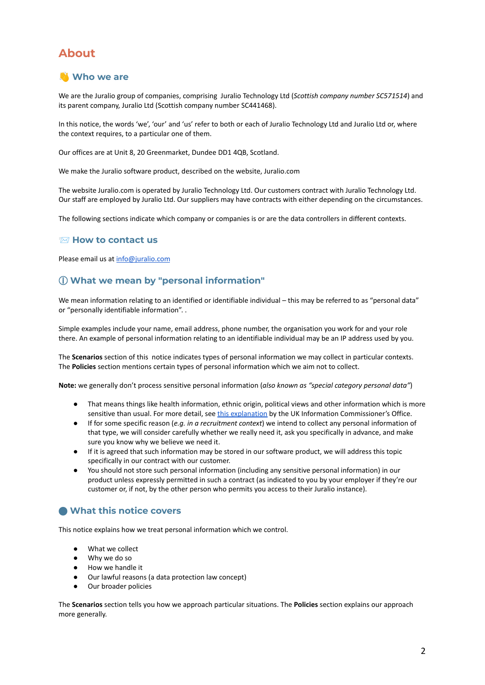# <span id="page-1-0"></span>**About**

## <span id="page-1-1"></span>**Who we are**

We are the Juralio group of companies, comprising Juralio Technology Ltd (*Scottish company number SC571514*) and its parent company, Juralio Ltd (Scottish company number SC441468).

In this notice, the words 'we', 'our' and 'us' refer to both or each of Juralio Technology Ltd and Juralio Ltd or, where the context requires, to a particular one of them.

Our offices are at Unit 8, 20 Greenmarket, Dundee DD1 4QB, Scotland.

We make the Juralio software product, described on the website, Juralio.com

The website Juralio.com is operated by Juralio Technology Ltd. Our customers contract with Juralio Technology Ltd. Our staff are employed by Juralio Ltd. Our suppliers may have contracts with either depending on the circumstances.

<span id="page-1-2"></span>The following sections indicate which company or companies is or are the data controllers in different contexts.

#### **How to contact us**

<span id="page-1-3"></span>Please email us at [info@juralio.com](mailto:info@juralio.com)

## ⓘ **What we mean by "personal information"**

We mean information relating to an identified or identifiable individual – this may be referred to as "personal data" or "personally identifiable information". .

Simple examples include your name, email address, phone number, the organisation you work for and your role there. An example of personal information relating to an identifiable individual may be an IP address used by you.

The **Scenarios** section of this notice indicates types of personal information we may collect in particular contexts. The **Policies** section mentions certain types of personal information which we aim not to collect.

**Note:** we generally don't process sensitive personal information (*also known as "special category personal data"*)

- That means things like health information, ethnic origin, political views and other information which is more sensitive than usual. For more detail, see this [explanation](https://ico.org.uk/for-organisations/guide-to-data-protection/guide-to-the-general-data-protection-regulation-gdpr/lawful-basis-for-processing/special-category-data/#scd1) by the UK Information Commissioner's Office.
- If for some specific reason (*e.g. in a recruitment context*) we intend to collect any personal information of that type, we will consider carefully whether we really need it, ask you specifically in advance, and make sure you know why we believe we need it.
- If it is agreed that such information may be stored in our software product, we will address this topic specifically in our contract with our customer.
- You should not store such personal information (including any sensitive personal information) in our product unless expressly permitted in such a contract (as indicated to you by your employer if they're our customer or, if not, by the other person who permits you access to their Juralio instance).

## <span id="page-1-4"></span>⬤ **What this notice covers**

This notice explains how we treat personal information which we control.

- What we collect
- Why we do so
- How we handle it
- Our lawful reasons (a data protection law concept)
- Our broader policies

The **Scenarios** section tells you how we approach particular situations. The **Policies** section explains our approach more generally.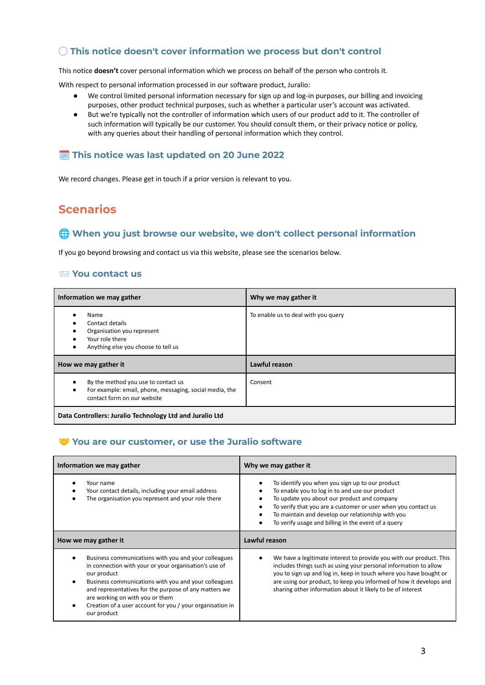## <span id="page-2-0"></span>◯ **This notice doesn't cover information we process but don't control**

This notice **doesn't** cover personal information which we process on behalf of the person who controls it.

With respect to personal information processed in our software product, Juralio:

- We control limited personal information necessary for sign up and log-in purposes, our billing and invoicing purposes, other product technical purposes, such as whether a particular user's account was activated.
- But we're typically not the controller of information which users of our product add to it. The controller of such information will typically be our customer. You should consult them, or their privacy notice or policy, with any queries about their handling of personal information which they control.

## <span id="page-2-1"></span>**This notice was last updated on 20 June 2022**

<span id="page-2-2"></span>We record changes. Please get in touch if a prior version is relevant to you.

# **Scenarios**

## <span id="page-2-3"></span>**When you just browse our website, we don't collect personal information**

<span id="page-2-4"></span>If you go beyond browsing and contact us via this website, please see the scenarios below.

## **You contact us**

| Information we may gather                                                                                                                  | Why we may gather it                |
|--------------------------------------------------------------------------------------------------------------------------------------------|-------------------------------------|
| Name<br>Contact details<br>Organisation you represent<br>Your role there<br>Anything else you choose to tell us<br>٠                       | To enable us to deal with you query |
| How we may gather it                                                                                                                       | Lawful reason                       |
| By the method you use to contact us<br>For example: email, phone, messaging, social media, the<br>$\bullet$<br>contact form on our website | Consent                             |
| Data Controllers: Juralio Technology Ltd and Juralio Ltd                                                                                   |                                     |

## <span id="page-2-5"></span>**You are our customer, or use the Juralio software**

| Information we may gather                                                                                                                                                            | Why we may gather it                                                                                                                                                                                                                                                                                                               |
|--------------------------------------------------------------------------------------------------------------------------------------------------------------------------------------|------------------------------------------------------------------------------------------------------------------------------------------------------------------------------------------------------------------------------------------------------------------------------------------------------------------------------------|
| Your name<br>Your contact details, including your email address<br>The organisation you represent and your role there                                                                | To identify you when you sign up to our product<br>٠<br>To enable you to log in to and use our product<br>To update you about our product and company<br>To verify that you are a customer or user when you contact us<br>To maintain and develop our relationship with you<br>To verify usage and billing in the event of a query |
| How we may gather it                                                                                                                                                                 | Lawful reason                                                                                                                                                                                                                                                                                                                      |
| Business communications with you and your colleagues<br>in connection with your or your organisation's use of<br>our product<br>Business communications with you and your colleagues | We have a legitimate interest to provide you with our product. This<br>includes things such as using your personal information to allow<br>you to sign up and log in, keep in touch where you have bought or                                                                                                                       |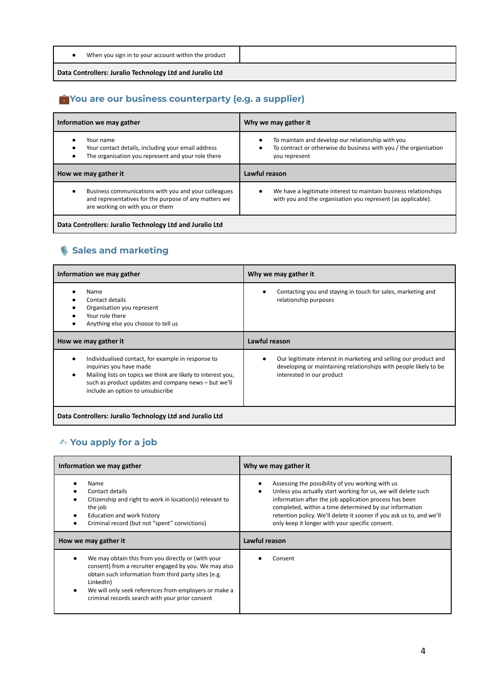| When you sign in to your account within the product |                                                          |
|-----------------------------------------------------|----------------------------------------------------------|
|                                                     | Data Controllers: Juralio Technology Ltd and Juralio Ltd |

# <span id="page-3-0"></span>**You are our business counterparty (e.g. a supplier)**

| Information we may gather                                                                                                                        | Why we may gather it                                                                                                                        |
|--------------------------------------------------------------------------------------------------------------------------------------------------|---------------------------------------------------------------------------------------------------------------------------------------------|
| Your name<br>Your contact details, including your email address<br>The organisation you represent and your role there                            | To maintain and develop our relationship with you<br>٠<br>To contract or otherwise do business with you / the organisation<br>you represent |
| How we may gather it                                                                                                                             | Lawful reason                                                                                                                               |
| Business communications with you and your colleagues<br>and representatives for the purpose of any matters we<br>are working on with you or them | We have a legitimate interest to maintain business relationships<br>٠<br>with you and the organisation you represent (as applicable).       |
| Data Controllers: Juralio Technology Ltd and Juralio Ltd                                                                                         |                                                                                                                                             |

# <span id="page-3-1"></span>**Sales and marketing**

| Information we may gather                                                                                                                                                                                                                 | Why we may gather it                                                                                                                                              |
|-------------------------------------------------------------------------------------------------------------------------------------------------------------------------------------------------------------------------------------------|-------------------------------------------------------------------------------------------------------------------------------------------------------------------|
| Name<br>Contact details<br>Organisation you represent<br>Your role there<br>Anything else you choose to tell us                                                                                                                           | Contacting you and staying in touch for sales, marketing and<br>relationship purposes                                                                             |
| How we may gather it                                                                                                                                                                                                                      | Lawful reason                                                                                                                                                     |
| Individualised contact, for example in response to<br>inquiries you have made<br>Mailing lists on topics we think are likely to interest you,<br>such as product updates and company news - but we'll<br>include an option to unsubscribe | Our legitimate interest in marketing and selling our product and<br>developing or maintaining relationships with people likely to be<br>interested in our product |
| Data Controllers: Juralio Technology Ltd and Juralio Ltd                                                                                                                                                                                  |                                                                                                                                                                   |

# <span id="page-3-2"></span>✍ **You apply for a job**

| Information we may gather                                                                                                                                                            | Why we may gather it                                                                                                                                                                                                                                                                                                                                             |
|--------------------------------------------------------------------------------------------------------------------------------------------------------------------------------------|------------------------------------------------------------------------------------------------------------------------------------------------------------------------------------------------------------------------------------------------------------------------------------------------------------------------------------------------------------------|
| <b>Name</b><br>Contact details<br>Citizenship and right to work in location(s) relevant to<br>the job<br>Education and work history<br>Criminal record (but not "spent" convictions) | Assessing the possibility of you working with us<br>Unless you actually start working for us, we will delete such<br>information after the job application process has been<br>completed, within a time determined by our information<br>retention policy. We'll delete it sooner if you ask us to, and we'll<br>only keep it longer with your specific consent. |
| How we may gather it                                                                                                                                                                 |                                                                                                                                                                                                                                                                                                                                                                  |
|                                                                                                                                                                                      | Lawful reason                                                                                                                                                                                                                                                                                                                                                    |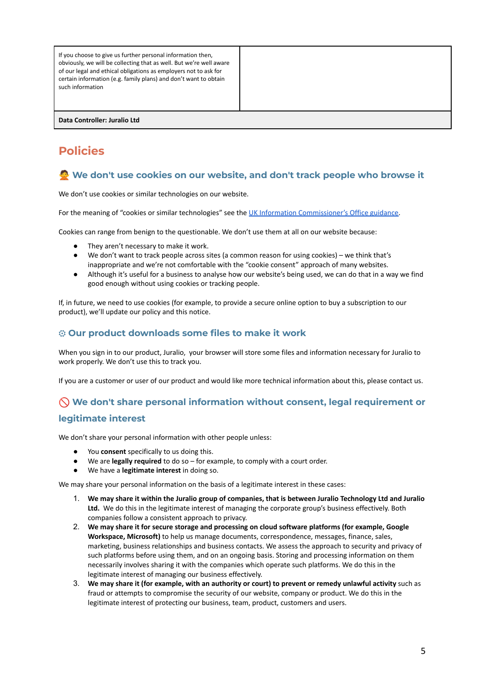| If you choose to give us further personal information then,<br>obviously, we will be collecting that as well. But we're well aware<br>of our legal and ethical obligations as employers not to ask for<br>certain information (e.g. family plans) and don't want to obtain<br>such information |  |
|------------------------------------------------------------------------------------------------------------------------------------------------------------------------------------------------------------------------------------------------------------------------------------------------|--|
| Data Controller: Juralio Ltd                                                                                                                                                                                                                                                                   |  |

# <span id="page-4-0"></span>**Policies**

# <span id="page-4-1"></span>**We don't use cookies on our website, and don't track people who browse it**

We don't use cookies or similar technologies on our website.

For the meaning of "cookies or similar technologies" see the UK Information [Commissioner's](https://ico.org.uk/for-organisations/guide-to-pecr/cookies-and-similar-technologies/) Office guidance.

Cookies can range from benign to the questionable. We don't use them at all on our website because:

- They aren't necessary to make it work.
- We don't want to track people across sites (a common reason for using cookies) we think that's inappropriate and we're not comfortable with the "cookie consent" approach of many websites.
- Although it's useful for a business to analyse how our website's being used, we can do that in a way we find good enough without using cookies or tracking people.

If, in future, we need to use cookies (for example, to provide a secure online option to buy a subscription to our product), we'll update our policy and this notice.

## <span id="page-4-2"></span>⚙ **Our product downloads some files to make it work**

When you sign in to our product, Juralio, your browser will store some files and information necessary for Juralio to work properly. We don't use this to track you.

If you are a customer or user of our product and would like more technical information about this, please contact us.

# <span id="page-4-3"></span> **We don't share personal information without consent, legal requirement or legitimate interest**

We don't share your personal information with other people unless:

- You **consent** specifically to us doing this.
- We are **legally required** to do so for example, to comply with a court order.
- We have a **legitimate interest** in doing so.

We may share your personal information on the basis of a legitimate interest in these cases:

- 1. We may share it within the Juralio group of companies, that is between Juralio Technology Ltd and Juralio **Ltd.** We do this in the legitimate interest of managing the corporate group's business effectively. Both companies follow a consistent approach to privacy.
- 2. **We may share it for secure storage and processing on cloud software platforms (for example, Google Workspace, Microsoft)** to help us manage documents, correspondence, messages, finance, sales, marketing, business relationships and business contacts. We assess the approach to security and privacy of such platforms before using them, and on an ongoing basis. Storing and processing information on them necessarily involves sharing it with the companies which operate such platforms. We do this in the legitimate interest of managing our business effectively.
- 3. We may share it (for example, with an authority or court) to prevent or remedy unlawful activity such as fraud or attempts to compromise the security of our website, company or product. We do this in the legitimate interest of protecting our business, team, product, customers and users.